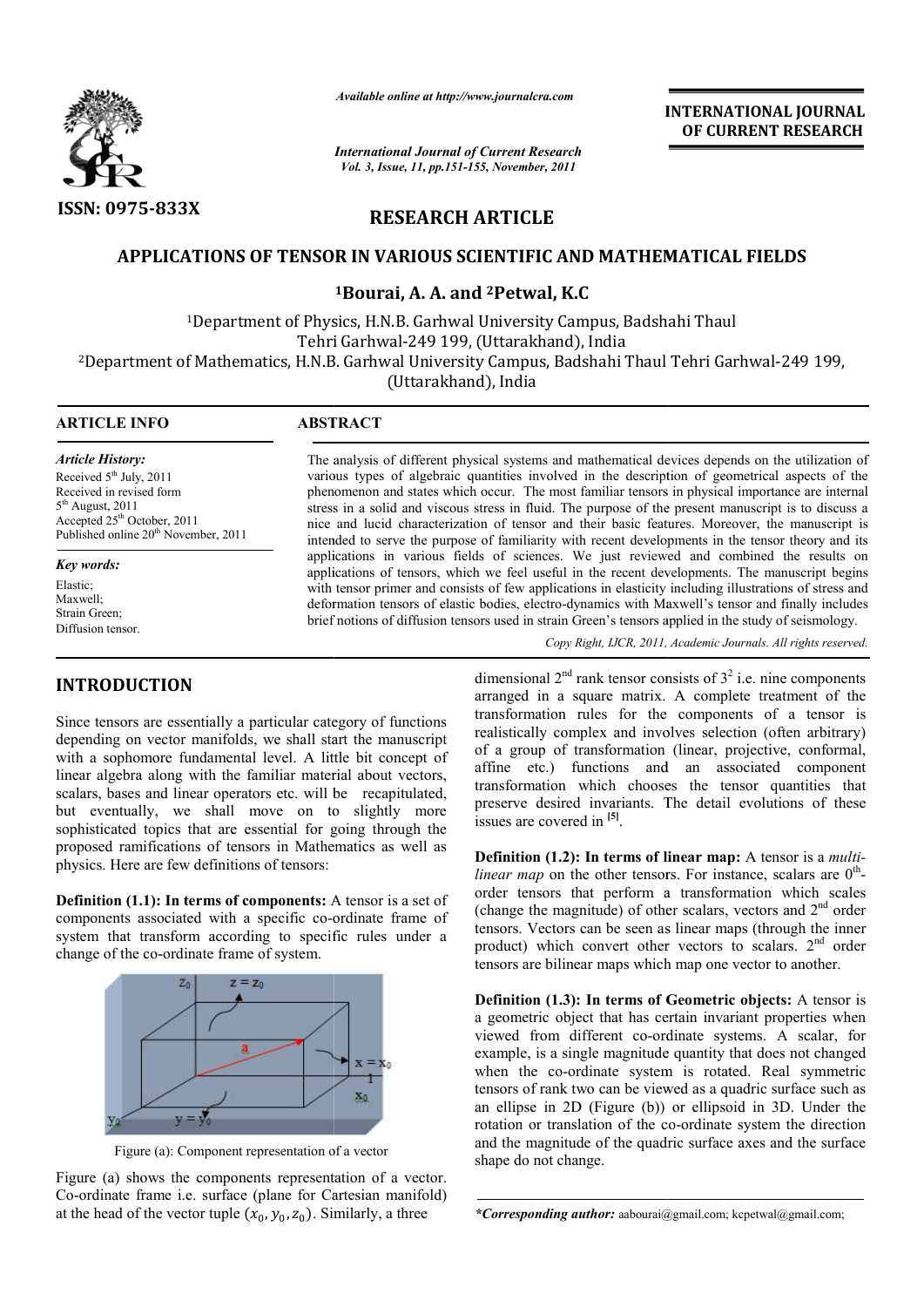

*Available online at http://www.journalcra.com*

*International Journal of Current Research Vol. 3, Issue, 11, pp.151-155, November, 2011*

**INTERNATIONAL INTERNATIONAL JOURNAL OF CURRENT RESEARCH** 

# **RESEARCH ARTICLE**

## **APPLICATIONS OF TENSOR IN VARIOUS SCIENTIFIC AND MATHEMATICAL FIELDS OF TENSOR**

## **1Bourai, A. A. and 2Petwal, K.C**

<sup>1</sup>Department of Physics, H.N.B. Garhwal University Campus, Badshahi Thaul Tehri Garhwal-249 199, (Uttarakhand), India Department of Physics, H.N.B. Garhwal University Campus, Badshahi Thaul \*<br>Tehri Garhwal-249 199, (Uttarakhand), India<br>Department of Mathematics, H.N.B. Garhwal University Campus, Badshahi Thaul Tehri Garhwal-249 199,

Tehri Garhwal-249 199, (Uttarakhand), India

2Department of Mathematics, H.N.B. Garhwal University Campus, Badshahi Thaul Tehri Garhwal Department of Mathematics, H.N.B. Garhwal University Campus, Badshahi Thaul Tehri Garhwal(Uttarakhand), India

 

### **ARTICLE INFO ABSTRACT**

*Article History:* Received 5<sup>th</sup> July, 2011 Received in revised form 5th August, 2011 Accepted 25th October, 2011 Published online 20<sup>th</sup> November, 2011

*Key words:* Elastic; Maxwell; Strain Green; Diffusion tensor.

## **INTRODUCTION**

Since tensors are essentially a particular category of functions depending on vector manifolds, we shall start the manuscript with a sophomore fundamental level. A little bit concept of linear algebra along with the familiar material about vectors, scalars, bases and linear operators etc. will be recapitulated, but eventually, we shall move on to slightly more sophisticated topics that are essential for going through the proposed ramifications of tensors in Mathematics as well as physics. Here are few definitions of tensors: **FRODUCTION**<br>
dimensional 2<sup>nd</sup> rank tensor consists of 3<br>
creasors are essentially a particular category of functions<br>
aranged in a square matrix. A comp<br>
ending on vector manifolds, we shall tart the manuscript recalist

**Definition (1.1): In terms of components:** A tensor is a set of components associated with a specific co-ordinate frame of system that transform according to specific rules under a change of the co-ordinate frame of system.



Figure (a): Component representation of a vector

Figure (a) shows the components representation of a vector. Co-ordinate frame i.e. surface (plane for Cartesian manifold) at the head of the vector tuple  $(x_0, y_0, z_0)$ . Similarly, a three

The analysis of different physical systems and mathematical devices depends on the utilization of various types of algebraic quantities involved in the description of geometrical aspects of the phenomenon and states which occur. The most familiar tensors in physical importance are internal stress in a solid and viscous stress in fluid. The purpose of the present manuscript is to discuss a nice and lucid characterization of tensor and their basic features. Moreover, the manuscript is intended to serve the p purpose of familiarity with recent developments in the tensor theory and its applications in various fields of sciences. We just reviewed and combined the results on applications of tensors, which we feel useful in the recent developments. The manuscript begins with tensor primer and consists of few applications in elasticity including illustrations of stress and deformation tensors of elastic bodies, electro-dynamics with Maxwell's tensor and finally includes with tensor primer and consists of few applications in elasticity including illustrations of stress and deformation tensors of elastic bodies, electro-dynamics with Maxwell's tensor and finally include brief notions of dif of different physical systems and mathematical devices depends on the utilization of<br>i of algebraic quantities involved in the description of geometrical aspects of the<br>and states which occur. The most familiar tensors in a solid and viscous stress in fluid. The purpose of the present manuscript is to discuss a lucid characterization of tensor and their basic features. Moreover, the manuscript is to serve the purpose of familiarity with rec

Copy Right, IJCR, 2011, Academic Journals. All rights reserved.

arranged in a square matrix. A complete treatment of the transformation rules for the components of a tensor is realistically complex and involves selection (often arbitrary) of a group of transformation (linear, projective, conformal, affine etc.) functions and an associated component transformation which chooses the tensor quantities that transformation which chooses the tensor quantities that preserve desired invariants. The detail evolutions of these issues are covered in **[5]**. dimensional  $2<sup>nd</sup>$  rank tensor consists of  $3<sup>2</sup>$  i.e. nine components for the components of a tensor is and involves selection (often arbitrary) brmation (linear, projective, conformal,

**Definition (1.2): In terms of linear map:** A tensor is a *multilinear map* on the other tensors. For instance, scalars are  $0^{\text{th}}$ order tensors that perform a transformation which scales order tensors that perform a transformation which scales (change the magnitude) of other scalars, vectors and  $2<sup>nd</sup>$  order tensors. Vectors can be seen as linear maps (through the inner product) which convert other vectors to scalars. 2<sup>nd</sup> order tensors are bilinear maps which map one vector to another.

**Definition (1.3): In terms of Geometric objects:** A tensor is a geometric object that has certain invariant properties when viewed from different co-ordinate systems. A scalar, for example, is a single magnitude quantity that does not changed when the co-ordinate system is rotated. Real symmetric tensors of rank two can be viewed as a quadric surface such as an ellipse in 2D (Figure (b)) or ellipsoid in 3D. Under the rotation or translation of the co-ordinate system the direction and the magnitude of the quadric surface axes and the surface shape do not change. and the magnitude of the quadric surface axes and the surface<br>
shape do not change.<br>
\*Corresponding *author*: aabourai@gmail.com; kcpetwal@gmail.com; From different co-ordinate systems. A scalar, for is a single magnitude quantity that does not changed the co-ordinate system is rotated. Real symmetric rank two can be viewed as a quadric surface such as the in 2D (Figure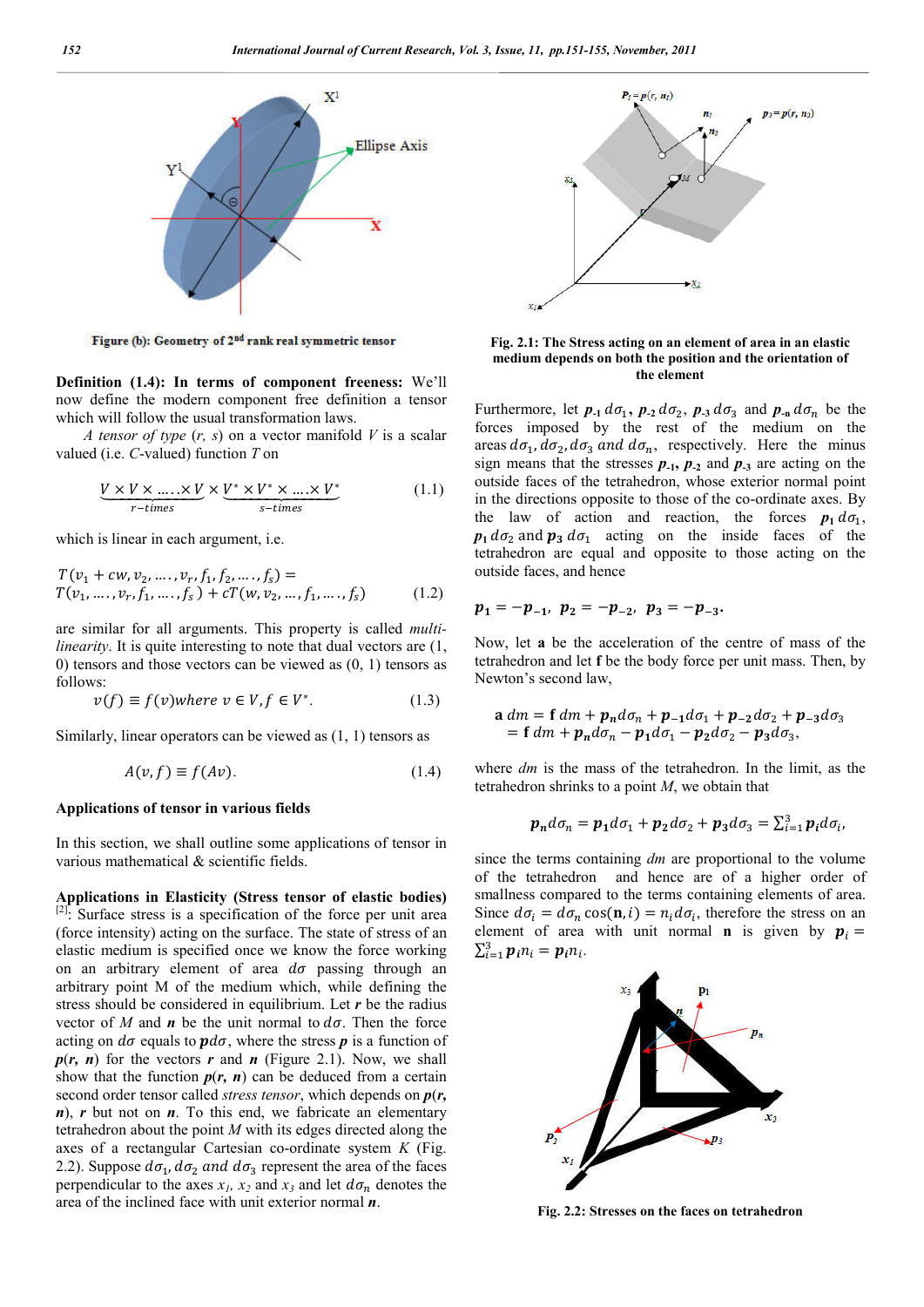

Figure (b): Geometry of 2<sup>nd</sup> rank real symmetric tensor

**Definition (1.4): In terms of component freeness:** We'll now define the modern component free definition a tensor which will follow the usual transformation laws.

*A tensor of type* (*r, s*) on a vector manifold *V* is a scalar valued (i.e. *C*-valued) function *T* on

$$
\underbrace{V \times V \times \dots \times V}_{r-times} \times \underbrace{V^* \times V^* \times \dots \times V^*}_{s-times}
$$
 (1.1)

which is linear in each argument, i.e.

$$
T(v_1 + cw, v_2, \dots, v_r, f_1, f_2, \dots, f_s) =T(v_1, \dots, v_r, f_1, \dots, f_s) + cT(w, v_2, \dots, f_1, \dots, f_s)
$$
 (1.2)

are similar for all arguments. This property is called *multilinearity*. It is quite interesting to note that dual vectors are  $(1, 1)$ 0) tensors and those vectors can be viewed as (0, 1) tensors as follows:

$$
v(f) \equiv f(v) \text{where } v \in V, f \in V^*.
$$
 (1.3)

Similarly, linear operators can be viewed as (1, 1) tensors as

$$
A(v, f) \equiv f(Av). \tag{1.4}
$$

### **Applications of tensor in various fields**

In this section, we shall outline some applications of tensor in various mathematical & scientific fields.

**Applications in Elasticity (Stress tensor of elastic bodies)** [2]. Surface stress is a specification of the force per unit area (force intensity) acting on the surface. The state of stress of an elastic medium is specified once we know the force working on an arbitrary element of area  $d\sigma$  passing through an arbitrary point M of the medium which, while defining the stress should be considered in equilibrium. Let *r* be the radius vector of *M* and *n* be the unit normal to  $d\sigma$ . Then the force acting on  $d\sigma$  equals to  $\mathbf{p}d\sigma$ , where the stress  $\mathbf{p}$  is a function of  $p(r, n)$  for the vectors  $r$  and  $n$  (Figure 2.1). Now, we shall show that the function  $p(r, n)$  can be deduced from a certain second order tensor called *stress tensor*, which depends on *p*(*r, n*), *r* but not on *n*. To this end, we fabricate an elementary tetrahedron about the point *M* with its edges directed along the axes of a rectangular Cartesian co-ordinate system *K* (Fig. 2.2). Suppose  $d\sigma_1$ ,  $d\sigma_2$  and  $d\sigma_3$  represent the area of the faces perpendicular to the axes  $x_1$ ,  $x_2$  and  $x_3$  and let  $d\sigma_n$  denotes the area of the inclined face with unit exterior normal *n*.



**Fig. 2.1: The Stress acting on an element of area in an elastic medium depends on both the position and the orientation of the element**

Furthermore, let  $p_{-1} d\sigma_1$ ,  $p_{-2} d\sigma_2$ ,  $p_{-3} d\sigma_3$  and  $p_{-n} d\sigma_n$  be the forces imposed by the rest of the medium on the areas  $d\sigma_1$ ,  $d\sigma_2$ ,  $d\sigma_3$  and  $d\sigma_n$ , respectively. Here the minus sign means that the stresses  $p_{-1}$ ,  $p_{-2}$  and  $p_{-3}$  are acting on the outside faces of the tetrahedron, whose exterior normal point in the directions opposite to those of the co-ordinate axes. By the law of action and reaction, the forces  $p_1 d\sigma_1$ ,  $p_1 d\sigma_2$  and  $p_3 d\sigma_1$  acting on the inside faces of the tetrahedron are equal and opposite to those acting on the outside faces, and hence

$$
p_1=-p_{-1}, p_2=-p_{-2}, p_3=-p_{-3}.
$$

Now, let **a** be the acceleration of the centre of mass of the tetrahedron and let **f** be the body force per unit mass. Then, by Newton's second law,

$$
\mathbf{a} \, dm = \mathbf{f} \, dm + \mathbf{p}_n d\sigma_n + \mathbf{p}_{-1} d\sigma_1 + \mathbf{p}_{-2} d\sigma_2 + \mathbf{p}_{-3} d\sigma_3
$$
\n
$$
= \mathbf{f} \, dm + \mathbf{p}_n d\sigma_n - \mathbf{p}_1 d\sigma_1 - \mathbf{p}_2 d\sigma_2 - \mathbf{p}_3 d\sigma_3,
$$

where *dm* is the mass of the tetrahedron. In the limit, as the tetrahedron shrinks to a point *M*, we obtain that

$$
\boldsymbol{p_n}d\sigma_n = \boldsymbol{p_1}d\sigma_1 + \boldsymbol{p_2}d\sigma_2 + \boldsymbol{p_3}d\sigma_3 = \sum_{i=1}^3 \boldsymbol{p_i}d\sigma_i,
$$

since the terms containing *dm* are proportional to the volume of the tetrahedron and hence are of a higher order of smallness compared to the terms containing elements of area. Since  $d\sigma_i = d\sigma_n \cos(\mathbf{n}, i) = n_i d\sigma_i$ , therefore the stress on an element of area with unit normal **n** is given by  $p_i =$  $\sum_{i=1}^{3} p_i n_i = p_i n_i$ .



**Fig. 2.2: Stresses on the faces on tetrahedron**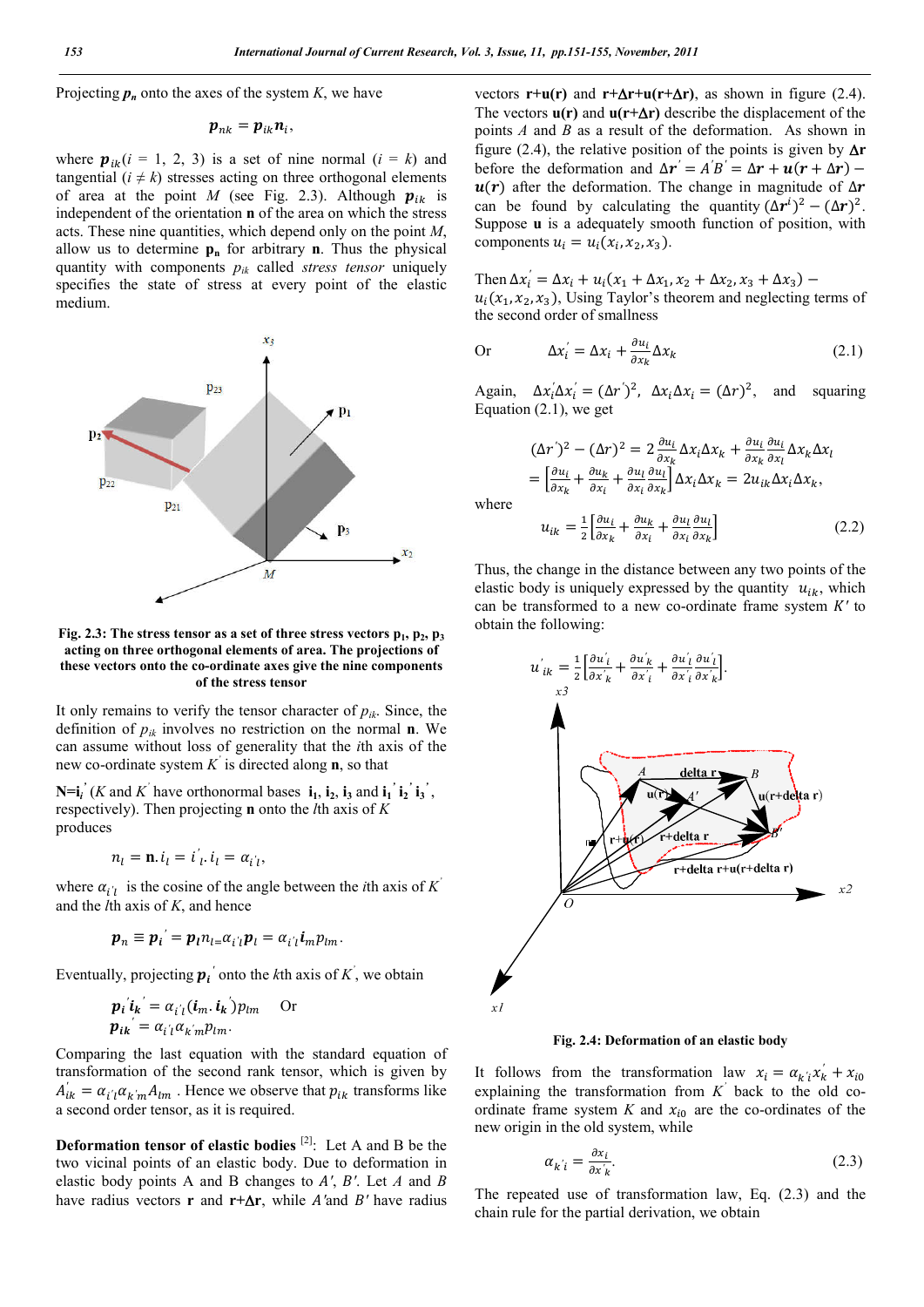Projecting  $p_n$  onto the axes of the system  $K$ , we have

$$
\boldsymbol{p}_{nk} = \boldsymbol{p}_{ik}\boldsymbol{n}_i,
$$

where  $p_{ik}$  ( $i = 1, 2, 3$ ) is a set of nine normal ( $i = k$ ) and tangential  $(i \neq k)$  stresses acting on three orthogonal elements of area at the point *M* (see Fig. 2.3). Although  $p_{ik}$  is independent of the orientation **n** of the area on which the stress acts. These nine quantities, which depend only on the point *M*, allow us to determine  $\mathbf{p}_n$  for arbitrary **n**. Thus the physical quantity with components *pik* called *stress tensor* uniquely specifies the state of stress at every point of the elastic medium.



Fig. 2.3: The stress tensor as a set of three stress vectors  $p_1$ ,  $p_2$ ,  $p_3$ **acting on three orthogonal elements of area. The projections of these vectors onto the co-ordinate axes give the nine components of the stress tensor**

It only remains to verify the tensor character of  $p_{ik}$ . Since, the definition of  $p_{ik}$  involves no restriction on the normal **n**. We can assume without loss of generality that the *i*th axis of the new co-ordinate system *K'* is directed along **n**, so that

 $N=i_i'$  (*K* and *K*<sup>'</sup> have orthonormal bases  $i_1$ ,  $i_2$ ,  $i_3$  and  $i_1'$ ,  $i_2'$ ,  $i_3'$ , respectively). Then projecting **n** onto the *l*th axis of *K* produces

$$
n_l = \mathbf{n}.\, i_l = i'_l.\, i_l = \alpha_{i'l},
$$

where  $\alpha_{i'i}$  is the cosine of the angle between the *i*th axis of *K*<sup>'</sup> and the *l*th axis of *K*, and hence

$$
\boldsymbol{p}_n \equiv \boldsymbol{p}_i{}^{'} = \boldsymbol{p}_l n_{l} = \alpha_{i'l} \boldsymbol{p}_l = \alpha_{i'l} \boldsymbol{i}_m p_{lm}.
$$

Eventually, projecting  $p_i'$  onto the *k*th axis of  $K'$ , we obtain

$$
\boldsymbol{p}_i' \boldsymbol{i}_k' = \alpha_{i'l} (\boldsymbol{i}_m \cdot \boldsymbol{i}_k') p_{lm} \quad \text{Or}
$$

$$
\boldsymbol{p}_{i\boldsymbol{k}'} = \alpha_{i'l} \alpha_{k'm} p_{lm}.
$$

Comparing the last equation with the standard equation of transformation of the second rank tensor, which is given by  $A'_{ik} = \alpha_{i'i} \alpha_{k'm} A_{lm}$ . Hence we observe that  $p_{ik}$  transforms like a second order tensor, as it is required.

**Deformation tensor of elastic bodies** [2]:Let A and B be the two vicinal points of an elastic body. Due to deformation in elastic body points A and B changes to  $A'$ ,  $B'$ . Let  $A$  and  $B$ have radius vectors **r** and **r**+ $\Delta$ **r**, while *A*'and *B*' have radius vectors  $\mathbf{r}+\mathbf{u}(\mathbf{r})$  and  $\mathbf{r}+\Delta\mathbf{r}+\mathbf{u}(\mathbf{r}+\Delta\mathbf{r})$ , as shown in figure (2.4). The vectors  $u(r)$  and  $u(r+\Delta r)$  describe the displacement of the points *A* and *B* as a result of the deformation. As shown in figure (2.4), the relative position of the points is given by  $\Delta r$ before the deformation and  $\Delta r' = A'B' = \Delta r + u(r + \Delta r)$  $u(r)$  after the deformation. The change in magnitude of  $\Delta r$ can be found by calculating the quantity  $(\Delta r^i)^2 - (\Delta r)^2$ . Suppose **u** is a adequately smooth function of position, with components  $u_i = u_i(x_i, x_2, x_3)$ .

Then  $\Delta x'_i = \Delta x_i + u_i(x_1 + \Delta x_1, x_2 + \Delta x_2, x_3 + \Delta x_3)$  –  $u_i(x_1, x_2, x_3)$ , Using Taylor's theorem and neglecting terms of the second order of smallness

Or 
$$
\Delta x_i' = \Delta x_i + \frac{\partial u_i}{\partial x_k} \Delta x_k
$$
 (2.1)

Again,  $\Delta x_i' \Delta x_i' = (\Delta r')^2$ ,  $\Delta x_i \Delta x_i = (\Delta r)^2$ , and squaring Equation (2.1), we get

$$
(\Delta r')^2 - (\Delta r)^2 = 2 \frac{\partial u_i}{\partial x_k} \Delta x_i \Delta x_k + \frac{\partial u_i}{\partial x_k} \frac{\partial u_i}{\partial x_l} \Delta x_k \Delta x_l
$$
  
= 
$$
\left[ \frac{\partial u_i}{\partial x_k} + \frac{\partial u_k}{\partial x_i} + \frac{\partial u_l}{\partial x_i} \frac{\partial u_l}{\partial x_k} \right] \Delta x_i \Delta x_k = 2 u_{ik} \Delta x_i \Delta x_k,
$$
  
where  

$$
u_k = 1 \left[ \frac{\partial u_i}{\partial x_k} + \frac{\partial u_k}{\partial x_k} \frac{\partial u_l}{\partial x_k} \right]
$$
 (2.2)

where

$$
u_{ik} = \frac{1}{2} \left[ \frac{\partial u_i}{\partial x_k} + \frac{\partial u_k}{\partial x_i} + \frac{\partial u_l}{\partial x_i} \frac{\partial u_l}{\partial x_k} \right]
$$
(2.2)

Thus, the change in the distance between any two points of the elastic body is uniquely expressed by the quantity  $u_{ik}$ , which can be transformed to a new co-ordinate frame system *K'* to obtain the following:



**Fig. 2.4: Deformation of an elastic body**

It follows from the transformation law  $x_i = \alpha_{k'i} x_k + x_{i0}$ explaining the transformation from *K'* back to the old coordinate frame system *K* and  $x_{i0}$  are the co-ordinates of the new origin in the old system, while

$$
\alpha_{k'i} = \frac{\partial x_i}{\partial x'_k}.\tag{2.3}
$$

The repeated use of transformation law, Eq. (2.3) and the chain rule for the partial derivation, we obtain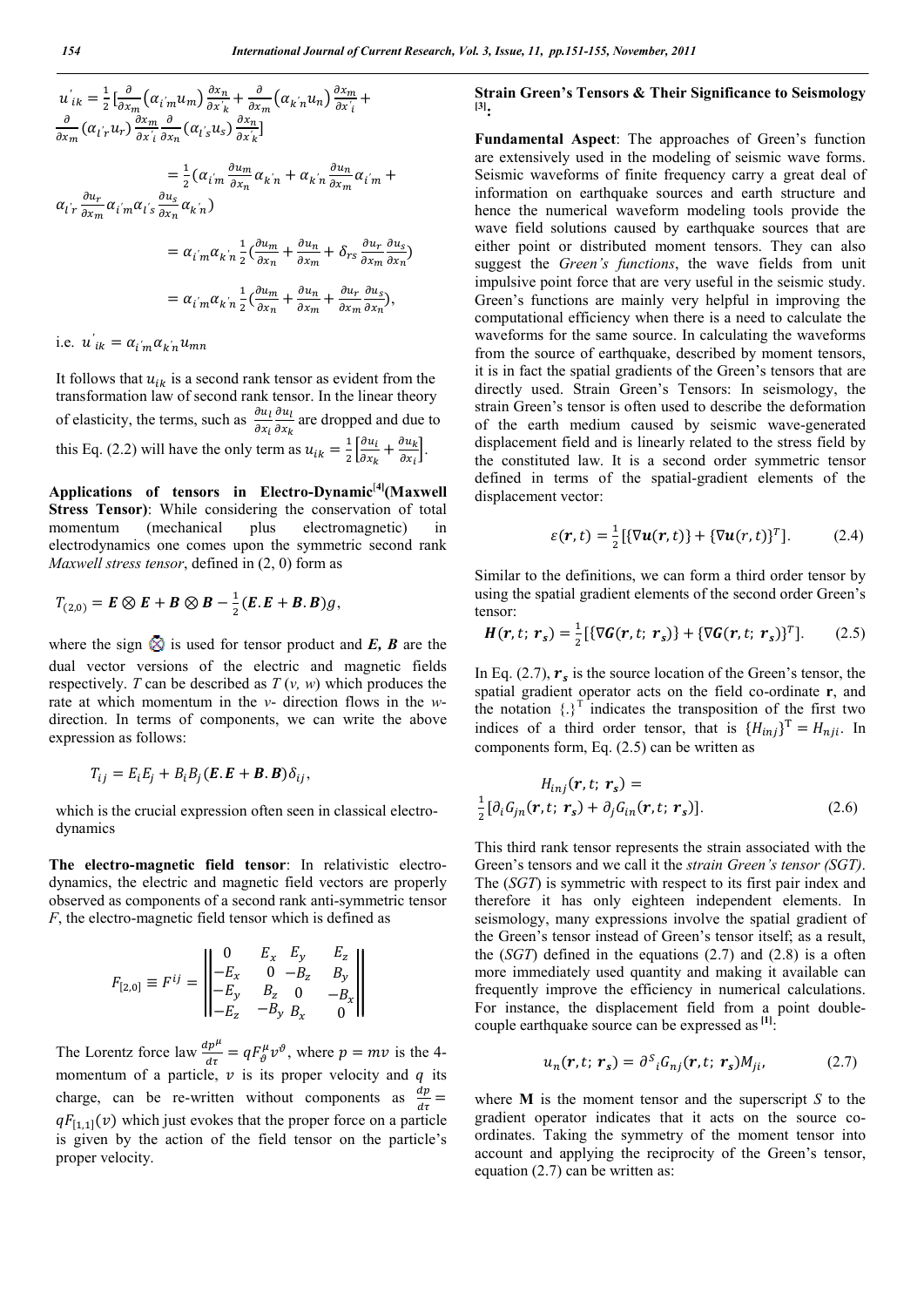$$
u'_{ik} = \frac{1}{2} \left[ \frac{\partial}{\partial x_m} \left( \alpha_{i'm} u_m \right) \frac{\partial x_n}{\partial x_k} + \frac{\partial}{\partial x_m} \left( \alpha_{k'n} u_n \right) \frac{\partial x_m}{\partial x_i} + \frac{\partial}{\partial x_m} \left( \alpha_{i'r} u_r \right) \frac{\partial x_m}{\partial x_i} \frac{\partial}{\partial x_n} \left( \alpha_{i's} u_s \right) \frac{\partial x_n}{\partial x_k} \right]
$$
  
\n
$$
= \frac{1}{2} \left( \alpha_{i'm} \frac{\partial u_m}{\partial x_n} \alpha_{k'n} + \alpha_{k'n} \frac{\partial u_n}{\partial x_m} \alpha_{i'm} + \alpha_{i'r} \frac{\partial u_r}{\partial x_m} \alpha_{i'm} \right)
$$
  
\n
$$
= \alpha_{i'm} \alpha_{k'n} \frac{1}{2} \left( \frac{\partial u_m}{\partial x_n} + \frac{\partial u_n}{\partial x_m} + \delta_{rs} \frac{\partial u_r}{\partial x_m} \frac{\partial u_s}{\partial x_n} \right)
$$
  
\n
$$
= \alpha_{i'm} \alpha_{k'n} \frac{1}{2} \left( \frac{\partial u_m}{\partial x_n} + \frac{\partial u_n}{\partial x_m} + \frac{\partial u_r}{\partial x_m} \frac{\partial u_s}{\partial x_n} \right),
$$
  
\ni.e.  $u'_{ik} = \alpha_{i'm} \alpha_{k'n} u_{mn}$ 

It follows that  $u_{ik}$  is a second rank tensor as evident from the transformation law of second rank tensor. In the linear theory of elasticity, the terms, such as  $\frac{\partial u_l}{\partial x_i}$  $\partial u_l$  $\frac{\partial u_l}{\partial x_k}$  are dropped and due to this Eq. (2.2) will have the only term as  $u_{ik} = \frac{1}{2} \left[ \frac{\partial u_i}{\partial x_k} \right]$  $\frac{\partial u_i}{\partial x_k} + \frac{\partial u_k}{\partial x_i}$ .

Applications of tensors in Electro-Dynamic<sup>[4]</sup>(Maxwell **Stress Tensor)**: While considering the conservation of total momentum (mechanical plus electromagnetic) in electrodynamics one comes upon the symmetric second rank *Maxwell stress tensor*, defined in (2, 0) form as

$$
T_{(2,0)} = \boldsymbol{E} \otimes \boldsymbol{E} + \boldsymbol{B} \otimes \boldsymbol{B} - \frac{1}{2} (\boldsymbol{E} \cdot \boldsymbol{E} + \boldsymbol{B} \cdot \boldsymbol{B}) g,
$$

where the sign  $\hat{\otimes}$  is used for tensor product and *E*, *B* are the dual vector versions of the electric and magnetic fields respectively. *T* can be described as *T* (*v, w*) which produces the rate at which momentum in the *v*- direction flows in the *w*direction. In terms of components, we can write the above expression as follows:

$$
T_{ij} = E_i E_j + B_i B_j (\mathbf{E} \cdot \mathbf{E} + \mathbf{B} \cdot \mathbf{B}) \delta_{ij},
$$

which is the crucial expression often seen in classical electrodynamics

**The electro-magnetic field tensor**: In relativistic electrodynamics, the electric and magnetic field vectors are properly observed as components of a second rank anti-symmetric tensor *F*, the electro-magnetic field tensor which is defined as

$$
F_{[2,0]} \equiv F^{ij} = \begin{vmatrix} 0 & E_x & E_y & E_z \\ -E_x & 0 & -B_z & B_y \\ -E_y & B_z & 0 & -B_x \\ -E_z & -B_y & B_x & 0 \end{vmatrix}
$$

The Lorentz force law  $\frac{dp^{\mu}}{d\tau} = qF^{\mu}_{\vartheta}v^{\vartheta}$ , where  $p = mv$  is the 4momentum of a particle,  $\nu$  is its proper velocity and  $q$  its charge, can be re-written without components as  $\frac{dp}{dt} =$  $qF_{[1,1]}(v)$  which just evokes that the proper force on a particle is given by the action of the field tensor on the particle's proper velocity.

### **Strain Green's Tensors & Their Significance to Seismology [3]:**

**Fundamental Aspect**: The approaches of Green's function are extensively used in the modeling of seismic wave forms. Seismic waveforms of finite frequency carry a great deal of information on earthquake sources and earth structure and hence the numerical waveform modeling tools provide the wave field solutions caused by earthquake sources that are either point or distributed moment tensors. They can also suggest the *Green's functions*, the wave fields from unit impulsive point force that are very useful in the seismic study. Green's functions are mainly very helpful in improving the computational efficiency when there is a need to calculate the waveforms for the same source. In calculating the waveforms from the source of earthquake, described by moment tensors, it is in fact the spatial gradients of the Green's tensors that are directly used. Strain Green's Tensors: In seismology, the strain Green's tensor is often used to describe the deformation of the earth medium caused by seismic wave-generated displacement field and is linearly related to the stress field by the constituted law. It is a second order symmetric tensor defined in terms of the spatial-gradient elements of the displacement vector:

$$
\varepsilon(\mathbf{r},t) = \frac{1}{2} \left[ \{ \nabla \mathbf{u}(\mathbf{r},t) \} + \{ \nabla \mathbf{u}(\mathbf{r},t) \}^T \right]. \tag{2.4}
$$

Similar to the definitions, we can form a third order tensor by using the spatial gradient elements of the second order Green's tensor:

$$
\boldsymbol{H}(\boldsymbol{r},t;\,\boldsymbol{r}_s) = \frac{1}{2} \left[ \{ \nabla \boldsymbol{G}(\boldsymbol{r},t;\,\boldsymbol{r}_s) \} + \{ \nabla \boldsymbol{G}(\boldsymbol{r},t;\,\boldsymbol{r}_s) \}^T \right]. \tag{2.5}
$$

In Eq. (2.7),  $r_s$  is the source location of the Green's tensor, the spatial gradient operator acts on the field co-ordinate **r**, and the notation  $\{\cdot\}^T$  indicates the transposition of the first two indices of a third order tensor, that is  $\{H_{ini}\}^T = H_{nii}$ . In components form, Eq. (2.5) can be written as

$$
H_{inj}(\mathbf{r}, t; \mathbf{r}_s) =
$$
  

$$
\frac{1}{2} [\partial_i G_{jn}(\mathbf{r}, t; \mathbf{r}_s) + \partial_j G_{in}(\mathbf{r}, t; \mathbf{r}_s)].
$$
 (2.6)

This third rank tensor represents the strain associated with the Green's tensors and we call it the *strain Green's tensor (SGT)*. The (*SGT*) is symmetric with respect to its first pair index and therefore it has only eighteen independent elements. In seismology, many expressions involve the spatial gradient of the Green's tensor instead of Green's tensor itself; as a result, the (*SGT*) defined in the equations (2.7) and (2.8) is a often more immediately used quantity and making it available can frequently improve the efficiency in numerical calculations. For instance, the displacement field from a point doublecouple earthquake source can be expressed as <sup>[1]</sup>:

$$
u_n(\mathbf{r}, t; \mathbf{r}_s) = \partial^s_i G_{nj}(\mathbf{r}, t; \mathbf{r}_s) M_{ji}, \tag{2.7}
$$

where **M** is the moment tensor and the superscript *S* to the gradient operator indicates that it acts on the source coordinates. Taking the symmetry of the moment tensor into account and applying the reciprocity of the Green's tensor, equation (2.7) can be written as: